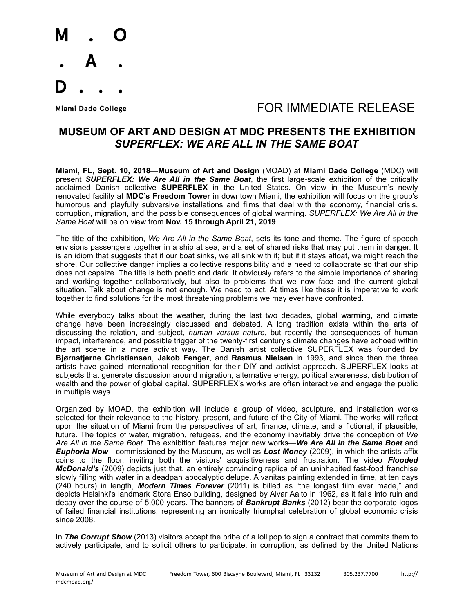

### Miami Dade College The College College College The College The Second FOR IMMEDIATE RELEASE

### **MUSEUM OF ART AND DESIGN AT MDC PRESENTS THE EXHIBITION**  *SUPERFLEX: WE ARE ALL IN THE SAME BOAT*

**Miami, FL, Sept. 10, 2018**—**Museum of Art and Design** (MOAD) at **Miami Dade College** (MDC) will present *SUPERFLEX: We Are All in the Same Boat*, the first large-scale exhibition of the critically acclaimed Danish collective **SUPERFLEX** in the United States. On view in the Museum's newly renovated facility at **MDC's Freedom Tower** in downtown Miami, the exhibition will focus on the group's humorous and playfully subversive installations and films that deal with the economy, financial crisis, corruption, migration, and the possible consequences of global warming. *SUPERFLEX: We Are All in the Same Boat* will be on view from **Nov. 15 through April 21, 2019**.

The title of the exhibition, *We Are All in the Same Boat*, sets its tone and theme. The figure of speech envisions passengers together in a ship at sea, and a set of shared risks that may put them in danger. It is an idiom that suggests that if our boat sinks, we all sink with it; but if it stays afloat, we might reach the shore. Our collective danger implies a collective responsibility and a need to collaborate so that our ship does not capsize. The title is both poetic and dark. It obviously refers to the simple importance of sharing and working together collaboratively, but also to problems that we now face and the current global situation. Talk about change is not enough. We need to act. At times like these it is imperative to work together to find solutions for the most threatening problems we may ever have confronted.

While everybody talks about the weather, during the last two decades, global warming, and climate change have been increasingly discussed and debated. A long tradition exists within the arts of discussing the relation, and subject, *human versus nature*, but recently the consequences of human impact, interference, and possible trigger of the twenty-first century's climate changes have echoed within the art scene in a more activist way. The Danish artist collective SUPERFLEX was founded by **Bjørnstjerne Christiansen**, **Jakob Fenger**, and **Rasmus Nielsen** in 1993, and since then the three artists have gained international recognition for their DIY and activist approach. SUPERFLEX looks at subjects that generate discussion around migration, alternative energy, political awareness, distribution of wealth and the power of global capital. SUPERFLEX's works are often interactive and engage the public in multiple ways.

Organized by MOAD, the exhibition will include a group of video, sculpture, and installation works selected for their relevance to the history, present, and future of the City of Miami. The works will reflect upon the situation of Miami from the perspectives of art, finance, climate, and a fictional, if plausible, future. The topics of water, migration, refugees, and the economy inevitably drive the conception of *We Are All in the Same Boat*. The exhibition features major new works—*We Are All in the Same Boat* and *Euphoria Now*—commissioned by the Museum, as well as *Lost Money* (2009), in which the artists affix coins to the floor, inviting both the visitors' acquisitiveness and frustration. The video *Flooded McDonald's* (2009) depicts just that, an entirely convincing replica of an uninhabited fast-food franchise slowly filling with water in a deadpan apocalyptic deluge. A vanitas painting extended in time, at ten days (240 hours) in length, *Modern Times Forever* (2011) is billed as "the longest film ever made," and depicts Helsinki's landmark Stora Enso building, designed by Alvar Aalto in 1962, as it falls into ruin and decay over the course of 5,000 years. The banners of *Bankrupt Banks* (2012) bear the corporate logos of failed financial institutions, representing an ironically triumphal celebration of global economic crisis since 2008.

In **The Corrupt Show** (2013) visitors accept the bribe of a lollipop to sign a contract that commits them to actively participate, and to solicit others to participate, in corruption, as defined by the United Nations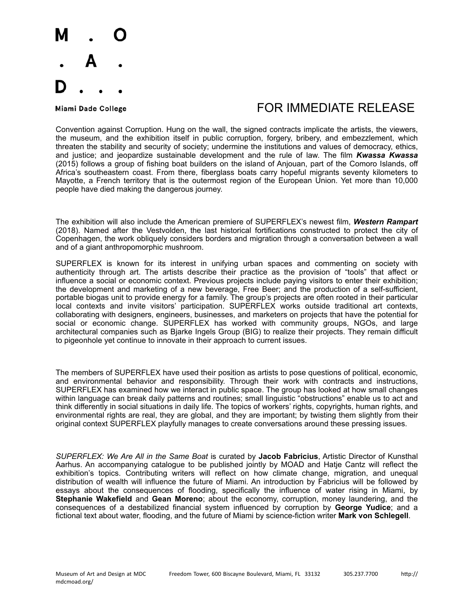

## Miami Dade College The College College College The College The Second FOR IMMEDIATE RELEASE

Convention against Corruption. Hung on the wall, the signed contracts implicate the artists, the viewers, the museum, and the exhibition itself in public corruption, forgery, bribery, and embezzlement, which threaten the stability and security of society; undermine the institutions and values of democracy, ethics, and justice; and jeopardize sustainable development and the rule of law. The film *Kwassa Kwassa* (2015) follows a group of fishing boat builders on the island of Anjouan, part of the Comoro Islands, off Africa's southeastern coast. From there, fiberglass boats carry hopeful migrants seventy kilometers to Mayotte, a French territory that is the outermost region of the European Union. Yet more than 10,000 people have died making the dangerous journey.

The exhibition will also include the American premiere of SUPERFLEX's newest film, *Western Rampart*  (2018). Named after the Vestvolden, the last historical fortifications constructed to protect the city of Copenhagen, the work obliquely considers borders and migration through a conversation between a wall and of a giant anthropomorphic mushroom.

SUPERFLEX is known for its interest in unifying urban spaces and commenting on society with authenticity through art. The artists describe their practice as the provision of "tools" that affect or influence a social or economic context. Previous projects include paying visitors to enter their exhibition; the development and marketing of a new beverage, Free Beer; and the production of a self-sufficient, portable biogas unit to provide energy for a family. The group's projects are often rooted in their particular local contexts and invite visitors' participation. SUPERFLEX works outside traditional art contexts, collaborating with designers, engineers, businesses, and marketers on projects that have the potential for social or economic change. SUPERFLEX has worked with community groups, NGOs, and large architectural companies such as Bjarke Ingels Group (BIG) to realize their projects. They remain difficult to pigeonhole yet continue to innovate in their approach to current issues.

The members of SUPERFLEX have used their position as artists to pose questions of political, economic, and environmental behavior and responsibility. Through their work with contracts and instructions, SUPERFLEX has examined how we interact in public space. The group has looked at how small changes within language can break daily patterns and routines; small linguistic "obstructions" enable us to act and think differently in social situations in daily life. The topics of workers' rights, copyrights, human rights, and environmental rights are real, they are global, and they are important; by twisting them slightly from their original context SUPERFLEX playfully manages to create conversations around these pressing issues.

*SUPERFLEX: We Are All in the Same Boat* is curated by **Jacob Fabricius**, Artistic Director of Kunsthal Aarhus. An accompanying catalogue to be published jointly by MOAD and Hatje Cantz will reflect the exhibition's topics. Contributing writers will reflect on how climate change, migration, and unequal distribution of wealth will influence the future of Miami. An introduction by Fabricius will be followed by essays about the consequences of flooding, specifically the influence of water rising in Miami, by **Stephanie Wakefield** and **Gean Moreno**; about the economy, corruption, money laundering, and the consequences of a destabilized financial system influenced by corruption by **George Yudice**; and a fictional text about water, flooding, and the future of Miami by science-fiction writer **Mark von Schlegell**.